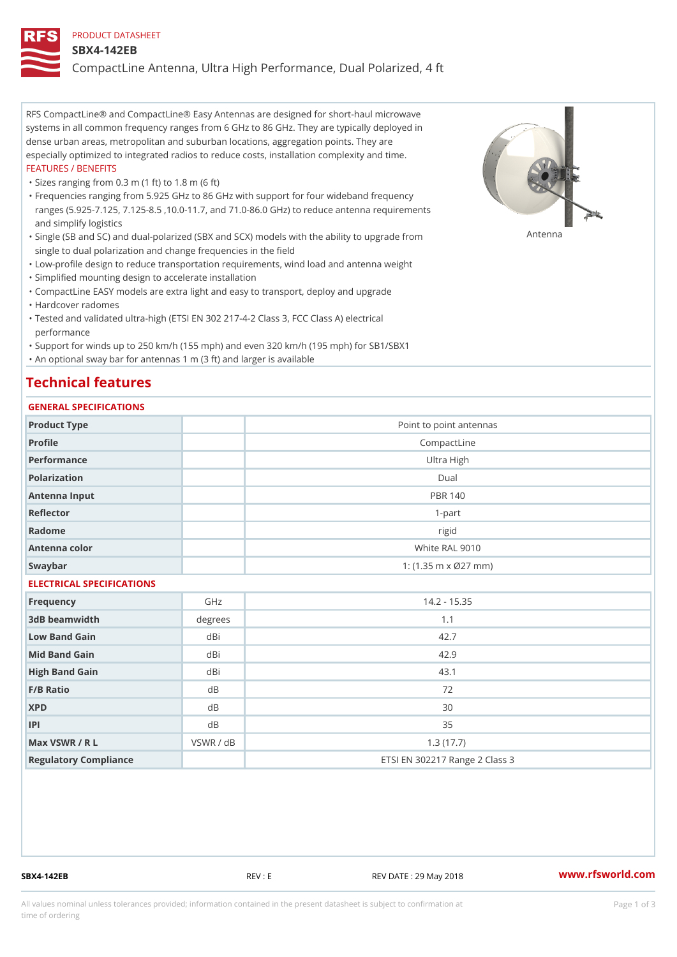### PRODUCT DATASHEET

### SBX4-142EB

CompactLine Antenna, Ultra High Performance, Dual Polarized, 4 ft

RFS CompactLine® and CompactLine® Easy Antennas are designed for short-haul microwave systems in all common frequency ranges from 6 GHz to 86 GHz. They are typically deployed in dense urban areas, metropolitan and suburban locations, aggregation points. They are especially optimized to integrated radios to reduce costs, installation complexity and time. FEATURES / BENEFITS

"Sizes ranging from 0.3 m (1 ft) to 1.8 m (6 ft)

Frequencies ranging from 5.925 GHz to 86 GHz with support for four wideband frequency " ranges (5.925-7.125, 7.125-8.5 ,10.0-11.7, and 71.0-86.0 GHz) to reduce antenna requirements and simplify logistics

"Single (SB and SC) and dual-polarized (SBX and SCX) models with the abili $\mathsf{f}_\mathsf{V}^{\eta}$ ttenup $\beta$ grade from single to dual polarization and change frequencies in the field

"Low-profile design to reduce transportation requirements, wind load and antenna weight

"Simplified mounting design to accelerate installation

 "CompactLine EASY models are extra light and easy to transport, deploy and upgrade "Hardcover radomes

Tested and validated ultra-high (ETSI EN 302 217-4-2 Class 3, FCC Class A) electrical " performance

 "Support for winds up to 250 km/h (155 mph) and even 320 km/h (195 mph) for SB1/SBX1 "An optional sway bar for antennas 1 m (3 ft) and larger is available

## Technical features

## GENERAL SPECIFICATIONS

| OLIVERAL OF LOTITUATIONS  |           |                                |  |  |  |
|---------------------------|-----------|--------------------------------|--|--|--|
| Product Type              |           | Point to point antennas        |  |  |  |
| Profile                   |           | CompactLine                    |  |  |  |
| Performance               |           | Ultra High                     |  |  |  |
| Polarization              |           | $D$ ual                        |  |  |  |
| Antenna Input             |           | <b>PBR 140</b>                 |  |  |  |
| Reflector                 |           | $1 - p$ art                    |  |  |  |
| Radome                    |           | rigid                          |  |  |  |
| Antenna color             |           | White RAL 9010                 |  |  |  |
| Swaybar                   |           | 1: $(1.35 m \times 027 mm)$    |  |  |  |
| ELECTRICAL SPECIFICATIONS |           |                                |  |  |  |
| Frequency                 | GHz       | $14.2 - 15.35$                 |  |  |  |
| 3dB beamwidth             | degrees   | 1.1                            |  |  |  |
| Low Band Gain             | $dB$ i    | 42.7                           |  |  |  |
| Mid Band Gain             | dBi       | 42.9                           |  |  |  |
| High Band Gain            | dBi       | 43.1                           |  |  |  |
| F/B Ratio                 | d B       | 72                             |  |  |  |
| <b>XPD</b>                | d B       | 30                             |  |  |  |
| P                         | $d$ B     | 35                             |  |  |  |
| Max VSWR / R L            | VSWR / dB | 1.3(17.7)                      |  |  |  |
| Regulatory Compliance     |           | ETSI EN 302217 Range 2 Class 3 |  |  |  |

SBX4-142EB REV : E REV DATE : 29 May 2018 [www.](https://www.rfsworld.com)rfsworld.com

All values nominal unless tolerances provided; information contained in the present datasheet is subject to Pcapgeign mation time of ordering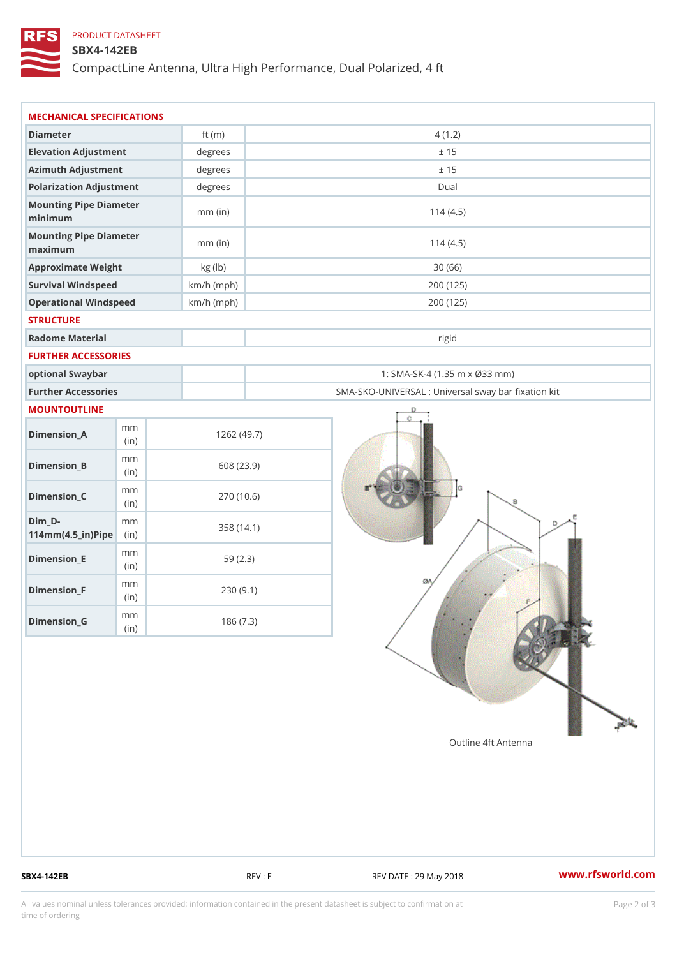# PRODUCT DATASHEET

# SBX4-142EB

CompactLine Antenna, Ultra High Performance, Dual Polarized, 4 ft

| MECHANICAL SPECIFICATIONS                           |              |              |                                                   |
|-----------------------------------------------------|--------------|--------------|---------------------------------------------------|
| Diameter                                            |              | ft $(m)$     | 4(1.2)                                            |
| Elevation Adjustment                                |              | degrees      | ± 15                                              |
| Azimuth Adjustment                                  |              | degrees      | ± 15                                              |
| Polarization Adjustment                             |              | $degree$ :   | Dual                                              |
| Mounting Pipe Diameter<br>minimum                   |              | $mm$ (in)    | 114(4.5)                                          |
| Mounting Pipe Diameter<br>maximum                   |              | $mm$ (in)    | 114(4.5)                                          |
| Approximate Weight                                  |              | kg (lb)      | 30(66)                                            |
| Survival Windspeed                                  |              | $km/h$ (mph) | 200 (125)                                         |
| Operational Windspeed                               |              | $km/h$ (mph) | 200 (125)                                         |
| <b>STRUCTURE</b>                                    |              |              |                                                   |
| Radome Material                                     |              |              | rigid                                             |
| FURTHER ACCESSORIES                                 |              |              |                                                   |
| optional Swaybar                                    |              |              | 1: SMA-SK-4 (1.35 m x Ø33 mm)                     |
| Further Accessories                                 |              |              | SMA-SKO-UNIVERSAL : Universal sway bar fixation l |
| MOUNTOUTLINE                                        |              |              |                                                   |
| $Dimension_A$                                       | m m<br>(in)  |              | 1262(49.7)                                        |
| $Dimension_B$                                       | m m<br>(in)  |              | 608 (23.9)                                        |
| $Dimen sion_C$                                      | m m<br>(i n) |              | 270 (10.6)                                        |
| $Dim_D -$<br>$114$ m m $(4.5$ _ ir $)$ $R$ ii p $e$ | m m          |              | 358 (14.1)                                        |
| $Dimension$ = E                                     | m m<br>(i n) |              | 59(2.3)                                           |
| $Dimension_F$                                       | m m<br>(in)  |              | 230(9.1)                                          |
| $D$ imension_G                                      | m m<br>(in)  |              | 186(7.3)                                          |

SBX4-142EB REV : E REV : REV DATE : 29 May 2018 WWW.rfsworld.com

All values nominal unless tolerances provided; information contained in the present datasheet is subject to Pcapgelio an atio time of ordering